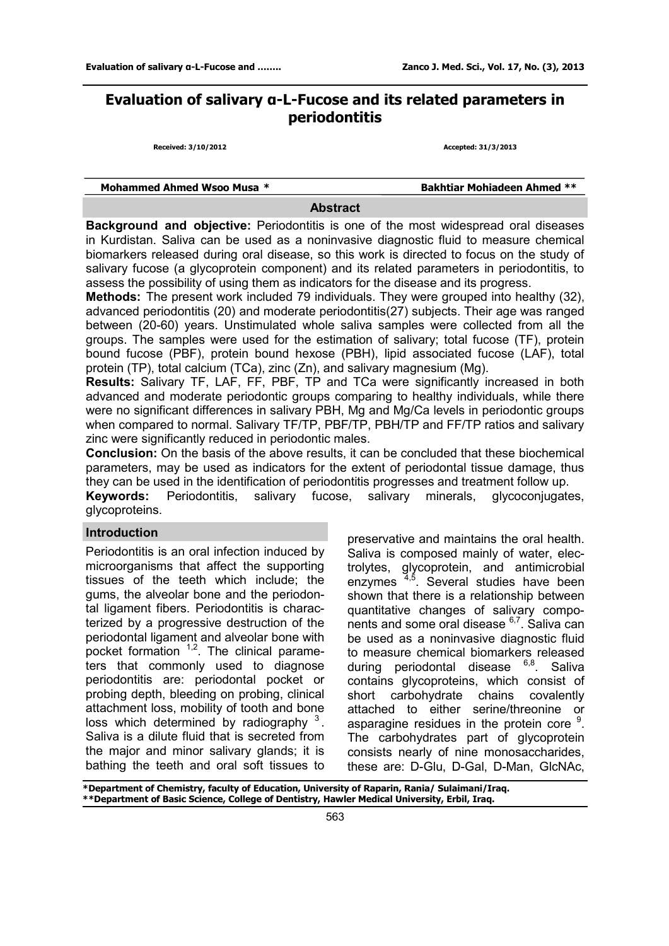# **Evaluation of salivary α-L-Fucose and its related parameters in periodontitis**

**Received: 3/10/2012 Accepted: 31/3/2013**

| Mohammed Ahmed Wsoo Musa * | <b>Bakhtiar Mohiadeen Ahmed **</b> |
|----------------------------|------------------------------------|
|                            |                                    |

#### **Abstract**

**Background and objective:** Periodontitis is one of the most widespread oral diseases in Kurdistan. Saliva can be used as a noninvasive diagnostic fluid to measure chemical biomarkers released during oral disease, so this work is directed to focus on the study of salivary fucose (a glycoprotein component) and its related parameters in periodontitis, to assess the possibility of using them as indicators for the disease and its progress.

**Methods:** The present work included 79 individuals. They were grouped into healthy (32), advanced periodontitis (20) and moderate periodontitis(27) subjects. Their age was ranged between (20-60) years. Unstimulated whole saliva samples were collected from all the groups. The samples were used for the estimation of salivary; total fucose (TF), protein bound fucose (PBF), protein bound hexose (PBH), lipid associated fucose (LAF), total protein (TP), total calcium (TCa), zinc (Zn), and salivary magnesium (Mg).

**Results:** Salivary TF, LAF, FF, PBF, TP and TCa were significantly increased in both advanced and moderate periodontic groups comparing to healthy individuals, while there were no significant differences in salivary PBH, Mg and Mg/Ca levels in periodontic groups when compared to normal. Salivary TF/TP, PBF/TP, PBH/TP and FF/TP ratios and salivary zinc were significantly reduced in periodontic males.

**Conclusion:** On the basis of the above results, it can be concluded that these biochemical parameters, may be used as indicators for the extent of periodontal tissue damage, thus they can be used in the identification of periodontitis progresses and treatment follow up.

**Keywords:** Periodontitis, salivary fucose, salivary minerals, glycoconjugates, glycoproteins.

#### **Introduction**

Periodontitis is an oral infection induced by microorganisms that affect the supporting tissues of the teeth which include; the gums, the alveolar bone and the periodontal ligament fibers. Periodontitis is characterized by a progressive destruction of the periodontal ligament and alveolar bone with pocket formation  $1,2$ . The clinical parameters that commonly used to diagnose periodontitis are: periodontal pocket or probing depth, bleeding on probing, clinical attachment loss, mobility of tooth and bone loss which determined by radiography  $3$ . Saliva is a dilute fluid that is secreted from the major and minor salivary glands; it is bathing the teeth and oral soft tissues to

preservative and maintains the oral health. Saliva is composed mainly of water, electrolytes, glycoprotein, and antimicrobial enzymes <sup>4,5</sup>. Several studies have been shown that there is a relationship between quantitative changes of salivary components and some oral disease <sup>6,7</sup>. Saliva can be used as a noninvasive diagnostic fluid to measure chemical biomarkers released during periodontal disease <sup>6,8</sup>. Saliva contains glycoproteins, which consist of short carbohydrate chains covalently attached to either serine/threonine or asparagine residues in the protein core  $9$ . The carbohydrates part of glycoprotein consists nearly of nine monosaccharides, these are: D-Glu, D-Gal, D-Man, GlcNAc,

**\*Department of Chemistry, faculty of Education, University of Raparin, Rania/ Sulaimani/Iraq. \*\*Department of Basic Science, College of Dentistry, Hawler Medical University, Erbil, Iraq.**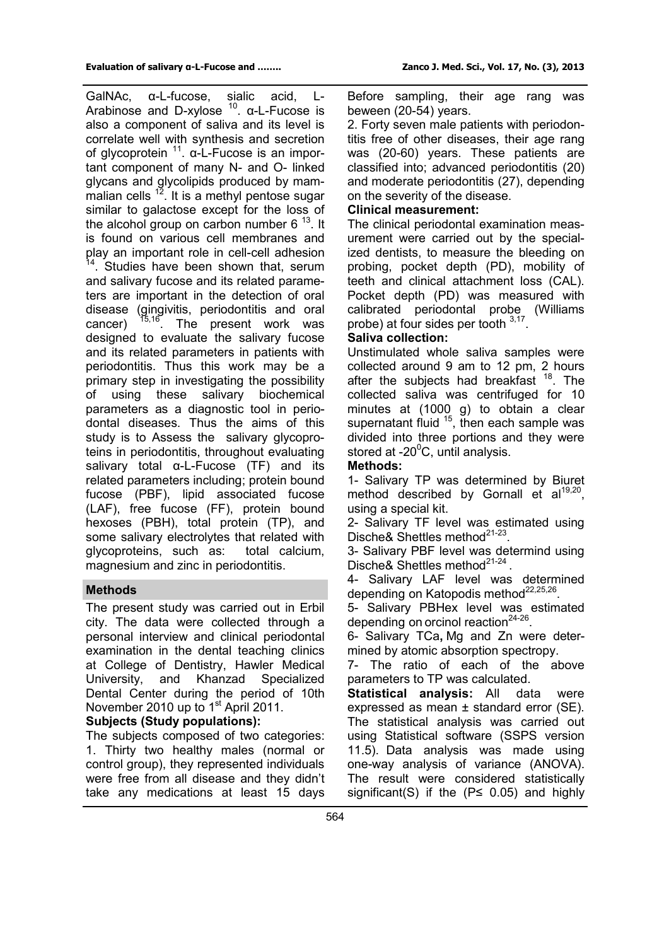GalNAc, α-L-fucose, sialic acid, L-Arabinose and D-xylose  $10$ .  $\alpha$ -L-Fucose is also a component of saliva and its level is correlate well with synthesis and secretion of glycoprotein <sup>11</sup>. α-L-Fucose is an important component of many N- and O- linked glycans and glycolipids produced by mammalian cells  $12$ . It is a methyl pentose sugar similar to galactose except for the loss of the alcohol group on carbon number 6<sup>13</sup>. It is found on various cell membranes and play an important role in cell-cell adhesion <sup>14</sup>. Studies have been shown that, serum and salivary fucose and its related parameters are important in the detection of oral disease (gingivitis, periodontitis and oral cancer)  $15,16$ . The present work was designed to evaluate the salivary fucose and its related parameters in patients with periodontitis. Thus this work may be a primary step in investigating the possibility of using these salivary biochemical parameters as a diagnostic tool in periodontal diseases. Thus the aims of this study is to Assess the salivary glycoproteins in periodontitis, throughout evaluating salivary total α-L-Fucose (TF) and its related parameters including; protein bound fucose (PBF), lipid associated fucose (LAF), free fucose (FF), protein bound hexoses (PBH), total protein (TP), and some salivary electrolytes that related with glycoproteins, such as: total calcium, magnesium and zinc in periodontitis.

### **Methods**

The present study was carried out in Erbil city. The data were collected through a personal interview and clinical periodontal examination in the dental teaching clinics at College of Dentistry, Hawler Medical University, and Khanzad Specialized Dental Center during the period of 10th November 2010 up to 1<sup>st</sup> April 2011.

### **Subjects (Study populations):**

The subjects composed of two categories: 1. Thirty two healthy males (normal or control group), they represented individuals were free from all disease and they didn't take any medications at least 15 days Before sampling, their age rang was beween (20-54) years.

2. Forty seven male patients with periodontitis free of other diseases, their age rang was (20-60) years. These patients are classified into; advanced periodontitis (20) and moderate periodontitis (27), depending on the severity of the disease.

## **Clinical measurement:**

The clinical periodontal examination measurement were carried out by the specialized dentists, to measure the bleeding on probing, pocket depth (PD), mobility of teeth and clinical attachment loss (CAL). Pocket depth (PD) was measured with calibrated periodontal probe (Williams probe) at four sides per tooth  $3,17$ .

### **Saliva collection:**

Unstimulated whole saliva samples were collected around 9 am to 12 pm, 2 hours after the subjects had breakfast <sup>18</sup>. The collected saliva was centrifuged for 10 minutes at (1000 g) to obtain a clear supernatant fluid  $15$ , then each sample was divided into three portions and they were stored at  $-20^{\circ}$ C, until analysis.

## **Methods:**

1- Salivary TP was determined by Biuret method described by Gornall et al<sup>19,20</sup>, using a special kit.

2- Salivary TF level was estimated using Dische& Shettles method<sup>21-23</sup>.

3- Salivary PBF level was determind using Dische& Shettles method $^{21-24}$ .

4- Salivary LAF level was determined depending on Katopodis method $^{22,25,26}$ .

5- Salivary PBHex level was estimated depending on orcinol reaction $24-26$ .

6- Salivary TCa**,** Mg and Zn were determined by atomic absorption spectropy.

7- The ratio of each of the above parameters to TP was calculated.

**Statistical analysis:** All data were expressed as mean ± standard error (SE). The statistical analysis was carried out using Statistical software (SSPS version 11.5). Data analysis was made using one-way analysis of variance (ANOVA). The result were considered statistically significant(S) if the  $(P \le 0.05)$  and highly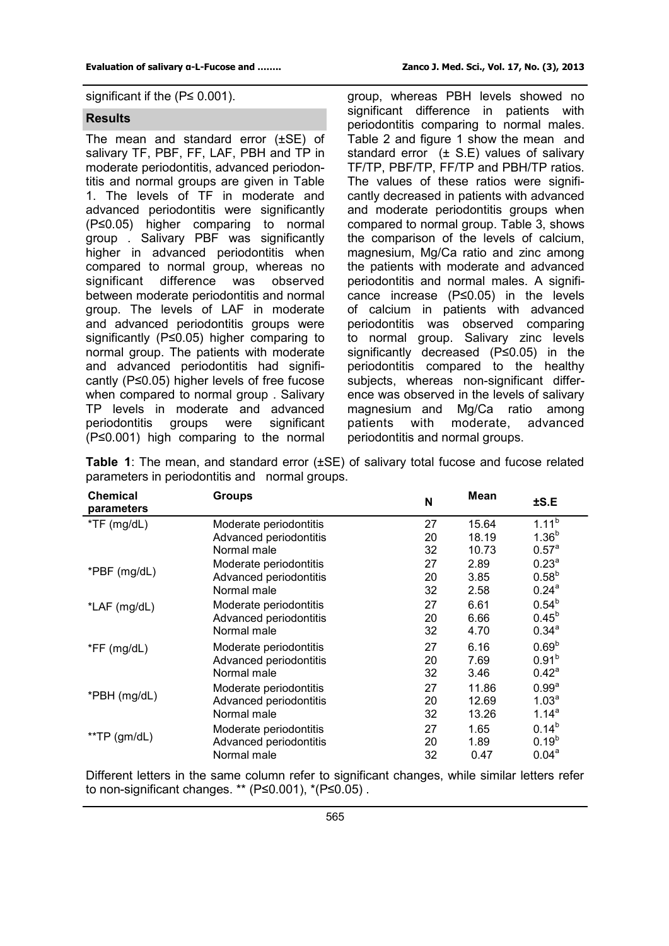#### **Results**

The mean and standard error (±SE) of salivary TF, PBF, FF, LAF, PBH and TP in moderate periodontitis, advanced periodontitis and normal groups are given in Table 1. The levels of TF in moderate and advanced periodontitis were significantly (P≤0.05) higher comparing to normal group . Salivary PBF was significantly higher in advanced periodontitis when compared to normal group, whereas no significant difference was observed between moderate periodontitis and normal group. The levels of LAF in moderate and advanced periodontitis groups were significantly (P≤0.05) higher comparing to normal group. The patients with moderate and advanced periodontitis had significantly (P≤0.05) higher levels of free fucose when compared to normal group . Salivary TP levels in moderate and advanced periodontitis groups were significant (P≤0.001) high comparing to the normal

group, whereas PBH levels showed no significant difference in patients with periodontitis comparing to normal males. Table 2 and figure 1 show the mean and standard error  $(\pm S.E)$  values of salivary TF/TP, PBF/TP, FF/TP and PBH/TP ratios. The values of these ratios were significantly decreased in patients with advanced and moderate periodontitis groups when compared to normal group. Table 3, shows the comparison of the levels of calcium, magnesium, Mg/Ca ratio and zinc among the patients with moderate and advanced periodontitis and normal males. A significance increase (P≤0.05) in the levels of calcium in patients with advanced periodontitis was observed comparing to normal group. Salivary zinc levels significantly decreased (P≤0.05) in the periodontitis compared to the healthy subjects, whereas non-significant difference was observed in the levels of salivary magnesium and Mg/Ca ratio among patients with moderate, advanced periodontitis and normal groups.

| <b>Table 1:</b> The mean, and standard error $(\pm SE)$ of salivary total fucose and fucose related |  |  |
|-----------------------------------------------------------------------------------------------------|--|--|
| parameters in periodontitis and normal groups.                                                      |  |  |

| <b>Chemical</b><br>parameters | Groups                 | N  | <b>Mean</b> | ±S.E              |  |
|-------------------------------|------------------------|----|-------------|-------------------|--|
| $*TF$ (mg/dL)                 | Moderate periodontitis | 27 | 15.64       | $1.11^{b}$        |  |
|                               | Advanced periodontitis | 20 | 18.19       | $1.36^{b}$        |  |
|                               | Normal male            | 32 | 10.73       | 0.57 <sup>a</sup> |  |
| *PBF (mg/dL)                  | Moderate periodontitis | 27 | 2.89        | 0.23 <sup>a</sup> |  |
|                               | Advanced periodontitis | 20 | 3.85        | $0.58^{b}$        |  |
|                               | Normal male            | 32 | 2.58        | $0.24^{a}$        |  |
| *LAF (mg/dL)                  | Moderate periodontitis | 27 | 6.61        | $0.54^{b}$        |  |
|                               | Advanced periodontitis | 20 | 6.66        | $0.45^{b}$        |  |
|                               | Normal male            | 32 | 4.70        | $0.34^{a}$        |  |
| $*FF$ (mg/dL)                 | Moderate periodontitis | 27 | 6.16        | 0.69 <sup>b</sup> |  |
|                               | Advanced periodontitis | 20 | 7.69        | 0.91 <sup>b</sup> |  |
|                               | Normal male            | 32 | 3.46        | $0.42^a$          |  |
|                               | Moderate periodontitis | 27 | 11.86       | 0.99 <sup>a</sup> |  |
| *PBH (mg/dL)                  | Advanced periodontitis | 20 | 12.69       | 1.03 <sup>a</sup> |  |
|                               | Normal male            | 32 | 13.26       | $1.14^{a}$        |  |
|                               | Moderate periodontitis | 27 | 1.65        | $0.14^{b}$        |  |
| **TP $(gm/dL)$                | Advanced periodontitis | 20 | 1.89        | $0.19^{b}$        |  |
|                               | Normal male            | 32 | 0.47        | 0.04 <sup>a</sup> |  |

Different letters in the same column refer to significant changes, while similar letters refer to non-significant changes. \*\* (P≤0.001), \*(P≤0.05) .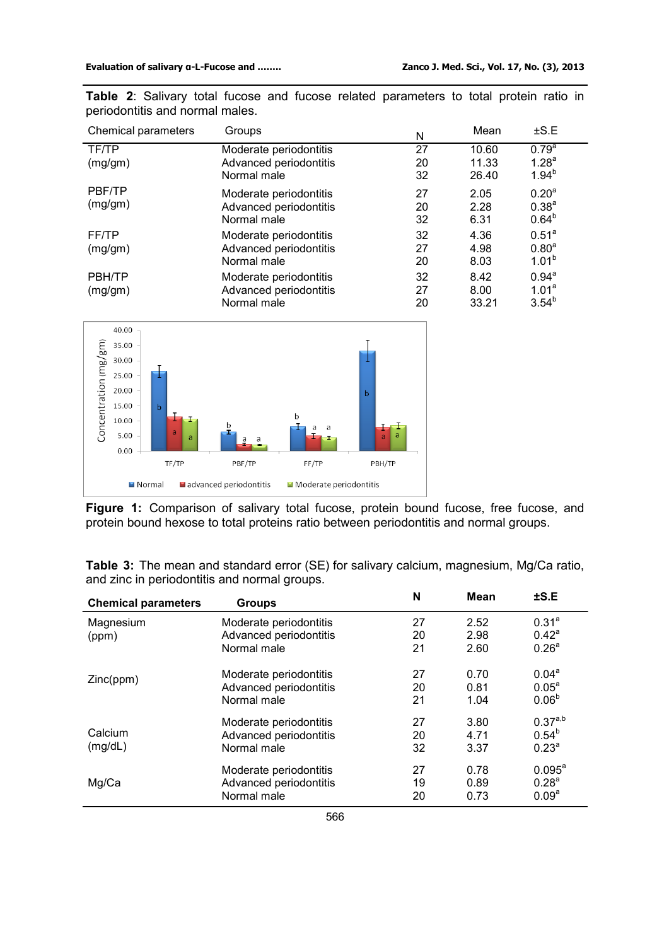| Chemical parameters | Groups                 | Ν  | Mean  | $\pm$ S.E         |
|---------------------|------------------------|----|-------|-------------------|
| TF/TP               | Moderate periodontitis | 27 | 10.60 | $0.79^{a}$        |
| (mg/gm)             | Advanced periodontitis | 20 | 11.33 | 1.28 <sup>a</sup> |
|                     | Normal male            | 32 | 26.40 | $1.94^{b}$        |
| PBF/TP              | Moderate periodontitis | 27 | 2.05  | 0.20 <sup>a</sup> |
| (mg/gm)             | Advanced periodontitis | 20 | 2.28  | 0.38 <sup>a</sup> |
|                     | Normal male            | 32 | 6.31  | $0.64^{b}$        |
| FF/TP               | Moderate periodontitis | 32 | 4.36  | 0.51 <sup>a</sup> |
| (mg/gm)             | Advanced periodontitis | 27 | 4.98  | $0.80^{a}$        |
|                     | Normal male            | 20 | 8.03  | 1.01 <sup>b</sup> |
| PBH/TP              | Moderate periodontitis | 32 | 8.42  | $0.94^{\text{a}}$ |
| (mg/gm)             | Advanced periodontitis | 27 | 8.00  | 1.01 <sup>a</sup> |
|                     | Normal male            | 20 | 33.21 | $3.54^{b}$        |

**Table 2**: Salivary total fucose and fucose related parameters to total protein ratio in periodontitis and normal males.



**Figure 1:** Comparison of salivary total fucose, protein bound fucose, free fucose, and protein bound hexose to total proteins ratio between periodontitis and normal groups.

**Table 3:** The mean and standard error (SE) for salivary calcium, magnesium, Mg/Ca ratio, and zinc in periodontitis and normal groups.

| <b>Chemical parameters</b> | <b>Groups</b>          | N  | Mean | ±S.E               |
|----------------------------|------------------------|----|------|--------------------|
| Magnesium                  | Moderate periodontitis | 27 | 2.52 | $0.31^{a}$         |
| (ppm)                      | Advanced periodontitis | 20 | 2.98 | $0.42^a$           |
|                            | Normal male            | 21 | 2.60 | 0.26 <sup>a</sup>  |
| Zinc(ppm)                  | Moderate periodontitis | 27 | 0.70 | 0.04 <sup>a</sup>  |
|                            | Advanced periodontitis | 20 | 0.81 | 0.05 <sup>a</sup>  |
|                            | Normal male            | 21 | 1.04 | 0.06 <sup>b</sup>  |
|                            | Moderate periodontitis | 27 | 3.80 | $0.37^{a,b}$       |
| Calcium                    | Advanced periodontitis | 20 | 4.71 | $0.54^{b}$         |
| (mg/dL)                    | Normal male            | 32 | 3.37 | 0.23 <sup>a</sup>  |
|                            | Moderate periodontitis | 27 | 0.78 | $0.095^{\text{a}}$ |
| Mg/Ca                      | Advanced periodontitis | 19 | 0.89 | 0.28 <sup>a</sup>  |
|                            | Normal male            | 20 | 0.73 | 0.09 <sup>a</sup>  |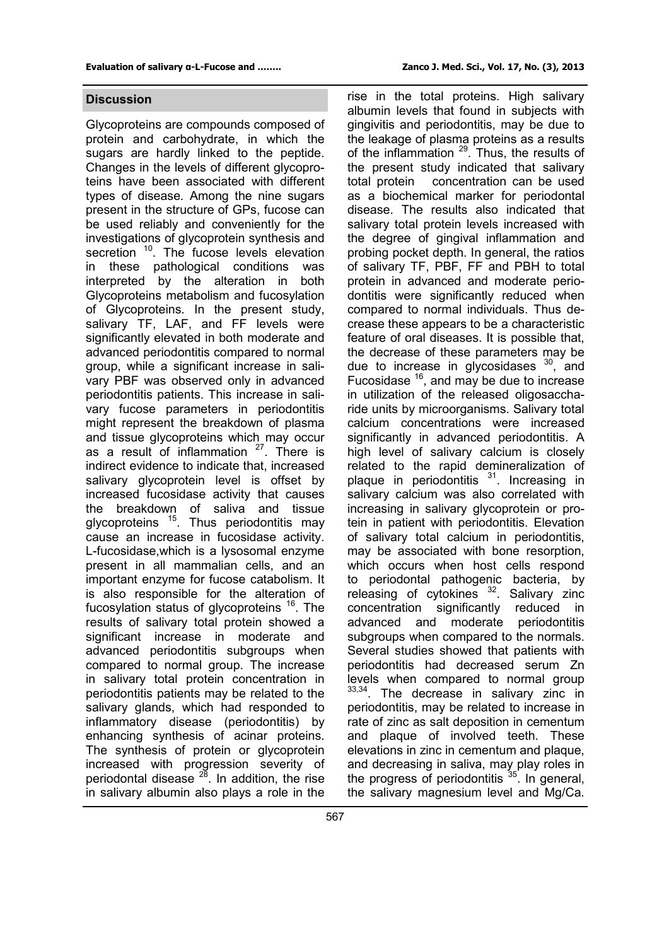#### **Discussion**

Glycoproteins are compounds composed of protein and carbohydrate, in which the sugars are hardly linked to the peptide. Changes in the levels of different glycoproteins have been associated with different types of disease. Among the nine sugars present in the structure of GPs, fucose can be used reliably and conveniently for the investigations of glycoprotein synthesis and secretion <sup>10</sup>. The fucose levels elevation in these pathological conditions was interpreted by the alteration in both Glycoproteins metabolism and fucosylation of Glycoproteins. In the present study, salivary TF, LAF, and FF levels were significantly elevated in both moderate and advanced periodontitis compared to normal group, while a significant increase in salivary PBF was observed only in advanced periodontitis patients. This increase in salivary fucose parameters in periodontitis might represent the breakdown of plasma and tissue glycoproteins which may occur as a result of inflammation  $27$ . There is indirect evidence to indicate that, increased salivary glycoprotein level is offset by increased fucosidase activity that causes the breakdown of saliva and tissue glycoproteins  $15$ . Thus periodontitis may cause an increase in fucosidase activity. L-fucosidase,which is a lysosomal enzyme present in all mammalian cells, and an important enzyme for fucose catabolism. It is also responsible for the alteration of fucosylation status of glycoproteins <sup>16</sup>. The results of salivary total protein showed a significant increase in moderate and advanced periodontitis subgroups when compared to normal group. The increase in salivary total protein concentration in periodontitis patients may be related to the salivary glands, which had responded to inflammatory disease (periodontitis) by enhancing synthesis of acinar proteins. The synthesis of protein or glycoprotein increased with progression severity of periodontal disease  $28$ . In addition, the rise in salivary albumin also plays a role in the

rise in the total proteins. High salivary albumin levels that found in subjects with gingivitis and periodontitis, may be due to the leakage of plasma proteins as a results of the inflammation  $29$ . Thus, the results of the present study indicated that salivary total protein concentration can be used as a biochemical marker for periodontal disease. The results also indicated that salivary total protein levels increased with the degree of gingival inflammation and probing pocket depth. In general, the ratios of salivary TF, PBF, FF and PBH to total protein in advanced and moderate periodontitis were significantly reduced when compared to normal individuals. Thus decrease these appears to be a characteristic feature of oral diseases. It is possible that, the decrease of these parameters may be due to increase in glycosidases  $30$ , and Fucosidase <sup>16</sup>, and may be due to increase in utilization of the released oligosaccharide units by microorganisms. Salivary total calcium concentrations were increased significantly in advanced periodontitis. A high level of salivary calcium is closely related to the rapid demineralization of plaque in periodontitis  $31$ . Increasing in salivary calcium was also correlated with increasing in salivary glycoprotein or protein in patient with periodontitis. Elevation of salivary total calcium in periodontitis, may be associated with bone resorption, which occurs when host cells respond to periodontal pathogenic bacteria, by releasing of cytokines <sup>32</sup>. Salivary zinc concentration significantly reduced in advanced and moderate periodontitis subgroups when compared to the normals. Several studies showed that patients with periodontitis had decreased serum Zn levels when compared to normal group  $33,34$ . The decrease in salivary zinc in periodontitis, may be related to increase in rate of zinc as salt deposition in cementum and plaque of involved teeth. These elevations in zinc in cementum and plaque, and decreasing in saliva, may play roles in the progress of periodontitis  $35$ . In general, the salivary magnesium level and Mg/Ca.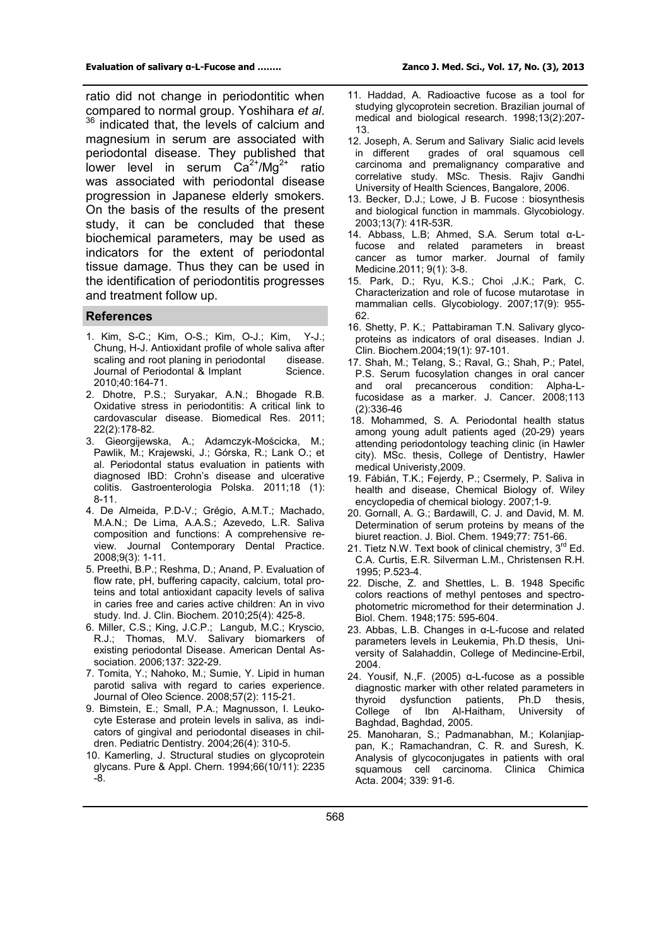ratio did not change in periodontitic when compared to normal group. Yoshihara *et al*. <sup>36</sup> indicated that, the levels of calcium and magnesium in serum are associated with periodontal disease. They published that lower level in serum  $Ca^{2+}/Mg^{2+}$  ratio was associated with periodontal disease progression in Japanese elderly smokers. On the basis of the results of the present study, it can be concluded that these biochemical parameters, may be used as indicators for the extent of periodontal tissue damage. Thus they can be used in the identification of periodontitis progresses and treatment follow up.

#### **References**

- 1. Kim, S-C.; Kim, O-S.; Kim, O-J.; Kim, Y-J.; Chung, H-J. Antioxidant profile of whole saliva after scaling and root planing in periodontal disease. Journal of Periodontal & Implant Science. 2010;40:164-71.
- 2. Dhotre, P.S.; Suryakar, A.N.; Bhogade R.B. Oxidative stress in periodontitis: A critical link to cardovascular disease. Biomedical Res. 2011; 22(2):178-82.
- 3. Gieorgijewska, A.; Adamczyk-Mościcka, M.; Pawlik, M.; Krajewski, J.; Górska, R.; Lank O.; et al. Periodontal status evaluation in patients with diagnosed IBD: Crohn's disease and ulcerative colitis. Gastroenterologia Polska. 2011;18 (1): 8-11.
- 4. De Almeida, P.D-V.; Grégio, A.M.T.; Machado, M.A.N.; De Lima, A.A.S.; Azevedo, L.R. Saliva composition and functions: A comprehensive review. Journal Contemporary Dental Practice. 2008;9(3): 1-11.
- 5. Preethi, B.P.; Reshma, D.; Anand, P. Evaluation of flow rate, pH, buffering capacity, calcium, total proteins and total antioxidant capacity levels of saliva in caries free and caries active children: An in vivo study. Ind. J. Clin. Biochem. 2010;25(4): 425-8.
- 6. Miller, C.S.; King, J.C.P.; Langub, M.C.; Kryscio, R.J.; Thomas, M.V. Salivary biomarkers of existing periodontal Disease. American Dental Association. 2006;137: 322-29.
- 7. Tomita, Y.; Nahoko, M.; Sumie, Y. Lipid in human parotid saliva with regard to caries experience. Journal of Oleo Science. 2008;57(2): 115-21.
- 9. Bimstein, E.; Small, P.A.; Magnusson, I. Leukocyte Esterase and protein levels in saliva, as indicators of gingival and periodontal diseases in children. Pediatric Dentistry. 2004;26(4): 310-5.
- 10. Kamerling, J. Structural studies on glycoprotein glycans. Pure & Appl. Chern. 1994;66(10/11): 2235 -8.
- 11. Haddad, A. Radioactive fucose as a tool for studying glycoprotein secretion. Brazilian journal of medical and biological research. 1998;13(2):207- 13.
- 12. Joseph, A. Serum and Salivary Sialic acid levels in different grades of oral squamous cell carcinoma and premalignancy comparative and correlative study. MSc. Thesis. Rajiv Gandhi University of Health Sciences, Bangalore, 2006.
- 13. Becker, D.J.; Lowe, J B. Fucose : biosynthesis and biological function in mammals. Glycobiology. 2003;13(7): 41R-53R.
- 14. Abbass, L.B; Ahmed, S.A. Serum total α-Lfucose and related parameters in breast cancer as tumor marker. Journal of family Medicine.2011; 9(1): 3-8.
- 15. Park, D.; Ryu, K.S.; Choi ,J.K.; Park, C. Characterization and role of fucose mutarotase in mammalian cells. Glycobiology. 2007;17(9): 955- 62.
- 16. Shetty, P. K.; Pattabiraman T.N. Salivary glycoproteins as indicators of oral diseases. Indian J. Clin. Biochem.2004;19(1): 97-101.
- 17. Shah, M.; Telang, S.; Raval, G.; Shah, P.; Patel, P.S. Serum fucosylation changes in oral cancer and oral precancerous condition: Alpha-Lfucosidase as a marker. J. Cancer. 2008;113 (2):336-46
- 18. Mohammed, S. A. Periodontal health status among young adult patients aged (20-29) years attending periodontology teaching clinic (in Hawler city). MSc. thesis, College of Dentistry, Hawler medical Univeristy,2009.
- 19. Fábián, T.K.; Fejerdy, P.; Csermely, P. Saliva in health and disease, Chemical Biology of. Wiley encyclopedia of chemical biology. 2007;1-9.
- 20. Gornall, A. G.; Bardawill, C. J. and David, M. M. Determination of serum proteins by means of the biuret reaction. J. Biol. Chem. 1949;77: 751-66.
- 21. Tietz N.W. Text book of clinical chemistry, 3<sup>rd</sup> Ed. C.A. Curtis, E.R. Silverman L.M., Christensen R.H. 1995; P.523-4.
- 22. Dische, Z. and Shettles, L. B. 1948 Specific colors reactions of methyl pentoses and spectrophotometric micromethod for their determination J. Biol. Chem. 1948;175: 595-604.
- 23. Abbas, L.B. Changes in α-L-fucose and related parameters levels in Leukemia, Ph.D thesis, University of Salahaddin, College of Medincine-Erbil, 2004.
- 24. Yousif, N.,F. (2005) α-L-fucose as a possible diagnostic marker with other related parameters in thyroid dysfunction patients, Ph.D thesis, College of Ibn Al-Haitham, University of Baghdad, Baghdad, 2005.
- 25. Manoharan, S.; Padmanabhan, M.; Kolanjiappan, K.; Ramachandran, C. R. and Suresh, K. Analysis of glycoconjugates in patients with oral squamous cell carcinoma. Clinica Chimica Acta. 2004; 339: 91-6.